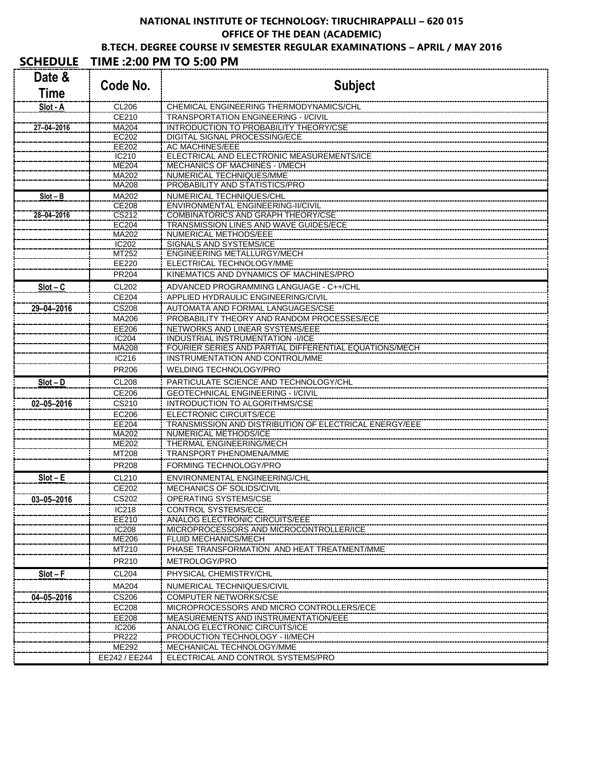### **NATIONAL INSTITUTE OF TECHNOLOGY: TIRUCHIRAPPALLI – 620 015 OFFICE OF THE DEAN (ACADEMIC) B.TECH. DEGREE COURSE IV SEMESTER REGULAR EXAMINATIONS – APRIL / MAY 2016**

# **SCHEDULE TIME :2:00 PM TO 5:00 PM**

|                  | L .L.VV I IVI I V J.         |                                                                        |
|------------------|------------------------------|------------------------------------------------------------------------|
| Date &           | Code No.                     | <b>Subject</b>                                                         |
| Time             |                              |                                                                        |
| Slot - A         | <b>CL206</b>                 | CHEMICAL ENGINEERING THERMODYNAMICS/CHL                                |
|                  | CE210                        | <b>TRANSPORTATION ENGINEERING - I/CIVIL</b>                            |
| 27-04-2016       | MA204                        | <b>INTRODUCTION TO PROBABILITY THEORY/CSE</b>                          |
|                  | EC202                        | DIGITAL SIGNAL PROCESSING/ECE                                          |
|                  | EE202                        | AC MACHINES/EEE                                                        |
|                  | IC210                        | ELECTRICAL AND ELECTRONIC MEASUREMENTS/ICE                             |
|                  | ME204                        | MECHANICS OF MACHINES - I/MECH<br>NUMERICAL TECHNIQUES/MME             |
|                  | MA202<br>MA208               | PROBABILITY AND STATISTICS/PRO                                         |
| $Slot - B$       | MA202                        | NUMERICAL TECHNIQUES/CHL                                               |
|                  | CE208                        | ENVIRONMENTAL ENGINEERING-II/CIVIL                                     |
| 28-04-2016       | CS212                        | <b>COMBINATORICS AND GRAPH THEORY/CSE</b>                              |
|                  | EC204                        | TRANSMISSION LINES AND WAVE GUIDES/ECE                                 |
|                  | MA202                        | NUMERICAL METHODS/EEE                                                  |
|                  | IC202                        | SIGNALS AND SYSTEMS/ICE                                                |
|                  | MT252                        | ENGINEERING METALLURGY/MECH                                            |
|                  | EE220                        | ELECTRICAL TECHNOLOGY/MME                                              |
|                  | PR204                        | KINEMATICS AND DYNAMICS OF MACHINES/PRO                                |
| $Slot - C$       | CL202                        | ADVANCED PROGRAMMING LANGUAGE - C++/CHL                                |
|                  | CE204                        | APPLIED HYDRAULIC ENGINEERING/CIVIL                                    |
| 29-04-2016       | CS <sub>208</sub>            | AUTOMATA AND FORMAL LANGUAGES/CSE                                      |
|                  | MA206                        | PROBABILITY THEORY AND RANDOM PROCESSES/ECE                            |
|                  | <b>EE206</b>                 | NETWORKS AND LINEAR SYSTEMS/EEE                                        |
|                  | IC204                        | INDUSTRIAL INSTRUMENTATION -I/ICE                                      |
|                  | MA208                        | FOURIER SERIES AND PARTIAL DIFFERENTIAL EQUATIONS/MECH                 |
|                  | IC216                        | INSTRUMENTATION AND CONTROL/MME                                        |
|                  | PR206                        | WELDING TECHNOLOGY/PRO                                                 |
| $Slot - D$       | <b>CL208</b>                 | PARTICULATE SCIENCE AND TECHNOLOGY/CHL                                 |
|                  | CE206                        | <b>GEOTECHNICAL ENGINEERING - I/CIVIL</b>                              |
| $02 - 05 - 2016$ | CS210                        | <b>INTRODUCTION TO ALGORITHMS/CSE</b>                                  |
|                  | EC206                        | ELECTRONIC CIRCUITS/ECE                                                |
|                  | EE204                        | TRANSMISSION AND DISTRIBUTION OF ELECTRICAL ENERGY/EEE                 |
|                  | MA202                        | NUMERICAL METHODS/ICE                                                  |
|                  | ME202                        | THERMAL ENGINEERING/MECH<br><b>TRANSPORT PHENOMENA/MME</b>             |
|                  | MT208                        |                                                                        |
|                  | PR208                        | FORMING TECHNOLOGY/PRO                                                 |
| $Slot - E$       | CL210                        | ENVIRONMENTAL ENGINEERING/CHL                                          |
|                  | CE202                        | MECHANICS OF SOLIDS/CIVIL                                              |
| $03 - 05 - 2016$ | CS202                        | OPERATING SYSTEMS/CSE                                                  |
|                  | IC218                        | CONTROL SYSTEMS/ECE                                                    |
|                  | EE210                        | ANALOG ELECTRONIC CIRCUITS/EEE                                         |
|                  | <b>IC208</b><br>ME206        | MICROPROCESSORS AND MICROCONTROLLER/ICE<br><b>FLUID MECHANICS/MECH</b> |
|                  | MT210                        | PHASE TRANSFORMATION AND HEAT TREATMENT/MME                            |
|                  | PR210                        | METROLOGY/PRO                                                          |
|                  |                              |                                                                        |
| $Slot - F$       | <b>CL204</b>                 | PHYSICAL CHEMISTRY/CHL                                                 |
|                  | MA204                        | NUMERICAL TECHNIQUES/CIVIL                                             |
| $04 - 05 - 2016$ | CS206                        | <b>COMPUTER NETWORKS/CSE</b>                                           |
|                  | EC208                        | MICROPROCESSORS AND MICRO CONTROLLERS/ECE                              |
|                  | EE208                        | MEASUREMENTS AND INSTRUMENTATION/EEE                                   |
|                  | <b>IC206</b><br><b>PR222</b> | ANALOG ELECTRONIC CIRCUITS/ICE<br>PRODUCTION TECHNOLOGY - II/MECH      |
|                  | ME292                        | MECHANICAL TECHNOLOGY/MME                                              |
|                  |                              |                                                                        |
|                  | EE242 / EE244                | ELECTRICAL AND CONTROL SYSTEMS/PRO                                     |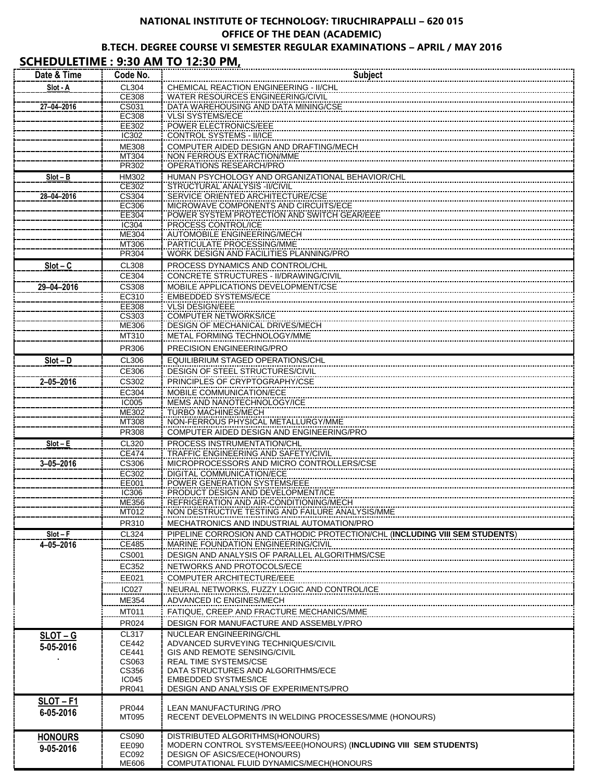### **NATIONAL INSTITUTE OF TECHNOLOGY: TIRUCHIRAPPALLI – 620 015 OFFICE OF THE DEAN (ACADEMIC) B.TECH. DEGREE COURSE VI SEMESTER REGULAR EXAMINATIONS – APRIL / MAY 2016**

### **SCHEDULETIME : 9:30 AM TO 12:30 PM,**

| Date & Time     | Code No.              | <b>Subject</b>                                                                   |
|-----------------|-----------------------|----------------------------------------------------------------------------------|
| Slot - A        | CL304                 | CHEMICAL REACTION ENGINEERING - II/CHL                                           |
|                 | CE308                 | WATER RESOURCES ENGINEERING/CIVIL                                                |
| 27-04-2016      | CS031                 | DATA WAREHOUSING AND DATA MINING/CSE                                             |
|                 | <b>EC308</b><br>EE302 | <b>VLSI SYSTEMS/ECE</b><br><b>POWER ELECTRONICS/EEE</b>                          |
|                 | IC302                 | CONTROL SYSTEMS - II/ICE                                                         |
|                 | ME308                 | COMPUTER AIDED DESIGN AND DRAFTING/MECH                                          |
|                 | MT304                 | NON FERROUS EXTRACTION/MME                                                       |
|                 | PR302                 | <b>OPERATIONS RESEARCH/PRO</b>                                                   |
| $Slot - B$      | HM302                 | HUMAN PSYCHOLOGY AND ORGANIZATIONAL BEHAVIOR/CHL                                 |
| 28-04-2016      | CE302<br>CS304        | STRUCTURAL ANALYSIS -II/CIVIL<br>SERVICE ORIENTED ARCHITECTURE/CSE               |
|                 | EC306                 | MICROWAVE COMPONENTS AND CIRCUITS/ECE                                            |
|                 | EE304                 | POWER SYSTEM PROTECTION AND SWITCH GEAR/EEE                                      |
|                 | IC304                 | PROCESS CONTROL/ICE                                                              |
|                 | ME304                 | AUTOMOBILE ENGINEERING/MECH                                                      |
|                 | MT306<br>PR304        | PARTICULATE PROCESSING/MME<br>WORK DESIGN AND FACILITIES PLANNING/PRO            |
| $Slot - C$      | <b>CL308</b>          | PROCESS DYNAMICS AND CONTROL/CHL                                                 |
|                 | CE304                 | CONCRETE STRUCTURES - II/DRAWING/CIVIL                                           |
| 29-04-2016      | CS308                 | MOBILE APPLICATIONS DEVELOPMENT/CSE                                              |
|                 | EC310                 | <b>EMBEDDED SYSTEMS/ECE</b>                                                      |
|                 | EE308                 | <b>VLSI DESIGN/EEE</b>                                                           |
|                 | CS303                 | <b>COMPUTER NETWORKS/ICE</b>                                                     |
|                 | <b>ME306</b><br>MT310 | <b>DESIGN OF MECHANICAL DRIVES/MECH</b><br>METAL FORMING TECHNOLOGY/MME          |
|                 |                       | PRECISION ENGINEERING/PRO                                                        |
|                 | PR306                 |                                                                                  |
| $Slot - D$      | CL306<br>CE306        | EQUILIBRIUM STAGED OPERATIONS/CHL<br>DESIGN OF STEEL STRUCTURES/CIVIL            |
| $2 - 05 - 2016$ | CS302                 | PRINCIPLES OF CRYPTOGRAPHY/CSE                                                   |
|                 | EC304                 | MOBILE COMMUNICATION/ECE                                                         |
|                 | <b>IC005</b>          | MEMS AND NANOTECHNOLOGY/ICE                                                      |
|                 | ME302                 | <b>TURBO MACHINES/MECH</b>                                                       |
|                 | MT308                 | NON-FERROUS PHYSICAL METALLURGY/MME                                              |
|                 | PR308                 | COMPUTER AIDED DESIGN AND ENGINEERING/PRO                                        |
| $Slot - E$      | CL320<br><b>CE474</b> | PROCESS INSTRUMENTATION/CHL<br>TRAFFIC ENGINEERING AND SAFETY/CIVIL              |
| $3 - 05 - 2016$ | CS306                 | MICROPROCESSORS AND MICRO CONTROLLERS/CSE                                        |
|                 | EC302                 | DIGITAL COMMUNICATION/ECE                                                        |
|                 | EE001                 | POWER GENERATION SYSTEMS/EEE                                                     |
|                 | IC306<br>ME356        | PRODUCT DESIGN AND DEVELOPMENT/ICE<br>REFRIGERATION AND AIR-CONDITIONING/MECH    |
|                 | MT012                 | NON DESTRUCTIVE TESTING AND FAILURE ANALYSIS/MME                                 |
|                 | PR310                 | MECHATRONICS AND INDUSTRIAL AUTOMATION/PRO                                       |
| $Slot - F$      | CL324                 | PIPELINE CORROSION AND CATHODIC PROTECTION/CHL (INCLUDING VIII SEM STUDENTS)     |
| 4-05-2016       | CE485                 | MARINE FOUNDATION ENGINEERING/CIVIL                                              |
|                 | <b>CS001</b>          | DESIGN AND ANALYSIS OF PARALLEL ALGORITHMS/CSE                                   |
|                 | EC352                 | NETWORKS AND PROTOCOLS/ECE                                                       |
|                 | EE021                 | COMPUTER ARCHITECTURE/EEE                                                        |
|                 | <b>IC027</b>          |                                                                                  |
|                 | ME354                 | ADVANCED IC ENGINES/MECH                                                         |
|                 | MT011                 | FATIQUE, CREEP AND FRACTURE MECHANICS/MME                                        |
|                 | PR024                 | DESIGN FOR MANUFACTURE AND ASSEMBLY/PRO                                          |
| $SLOT - G$      | CL317<br>CE442        | NUCLEAR ENGINEERING/CHL<br>ADVANCED SURVEYING TECHNIQUES/CIVIL                   |
| 5-05-2016       | CE441                 | GIS AND REMOTE SENSING/CIVIL                                                     |
|                 | CS063                 | <b>REAL TIME SYSTEMS/CSE</b>                                                     |
|                 | CS356<br><b>IC045</b> | DATA STRUCTURES AND ALGORITHMS/ECE<br><b>EMBEDDED SYSTMES/ICE</b>                |
|                 | PR041                 | DESIGN AND ANALYSIS OF EXPERIMENTS/PRO                                           |
| <b>SLOT-F1</b>  |                       |                                                                                  |
| 6-05-2016       | PR044                 | LEAN MANUFACTURING / PRO                                                         |
|                 | MT095                 | RECENT DEVELOPMENTS IN WELDING PROCESSES/MME (HONOURS)                           |
| <b>HONOURS</b>  | CS090                 | DISTRIBUTED ALGORITHMS(HONOURS)                                                  |
| 9-05-2016       | EE090                 | MODERN CONTROL SYSTEMS/EEE(HONOURS) (INCLUDING VIII SEM STUDENTS)                |
|                 | EC092<br>ME606        | <b>DESIGN OF ASICS/ECE(HONOURS)</b><br>COMPUTATIONAL FLUID DYNAMICS/MECH(HONOURS |